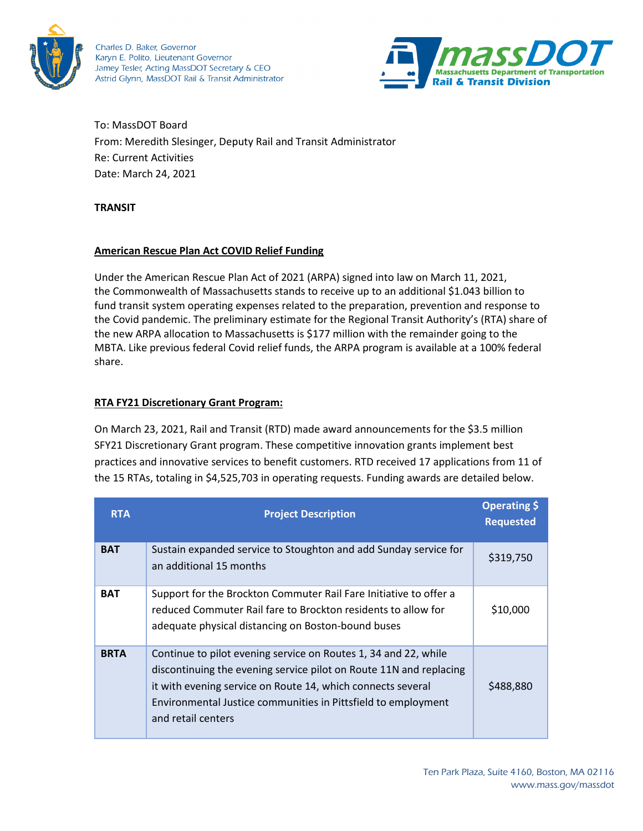

Charles D. Baker, Governor Karyn E. Polito, Lieutenant Governor Jamey Tesler, Acting MassDOT Secretary & CEO Astrid Glynn, MassDOT Rail & Transit Administrator



To: MassDOT Board From: Meredith Slesinger, Deputy Rail and Transit Administrator Re: Current Activities Date: March 24, 2021

#### **TRANSIT**

### **American Rescue Plan Act COVID Relief Funding**

Under the American Rescue Plan Act of 2021 (ARPA) signed into law on March 11, 2021, the Commonwealth of Massachusetts stands to receive up to an additional \$1.043 billion to fund transit system operating expenses related to the preparation, prevention and response to the Covid pandemic. The preliminary estimate for the Regional Transit Authority's (RTA) share of the new ARPA allocation to Massachusetts is \$177 million with the remainder going to the MBTA. Like previous federal Covid relief funds, the ARPA program is available at a 100% federal share.

## **RTA FY21 Discretionary Grant Program:**

On March 23, 2021, Rail and Transit (RTD) made award announcements for the \$3.5 million SFY21 Discretionary Grant program. These competitive innovation grants implement best practices and innovative services to benefit customers. RTD received 17 applications from 11 of the 15 RTAs, totaling in \$4,525,703 in operating requests. Funding awards are detailed below.

| <b>RTA</b>  | <b>Project Description</b>                                                                                                                                                                                                                                                                  | Operating \$<br><b>Requested</b> |
|-------------|---------------------------------------------------------------------------------------------------------------------------------------------------------------------------------------------------------------------------------------------------------------------------------------------|----------------------------------|
| <b>BAT</b>  | Sustain expanded service to Stoughton and add Sunday service for<br>an additional 15 months                                                                                                                                                                                                 | \$319,750                        |
| <b>BAT</b>  | Support for the Brockton Commuter Rail Fare Initiative to offer a<br>reduced Commuter Rail fare to Brockton residents to allow for<br>adequate physical distancing on Boston-bound buses                                                                                                    | \$10,000                         |
| <b>BRTA</b> | Continue to pilot evening service on Routes 1, 34 and 22, while<br>discontinuing the evening service pilot on Route 11N and replacing<br>it with evening service on Route 14, which connects several<br>Environmental Justice communities in Pittsfield to employment<br>and retail centers | \$488,880                        |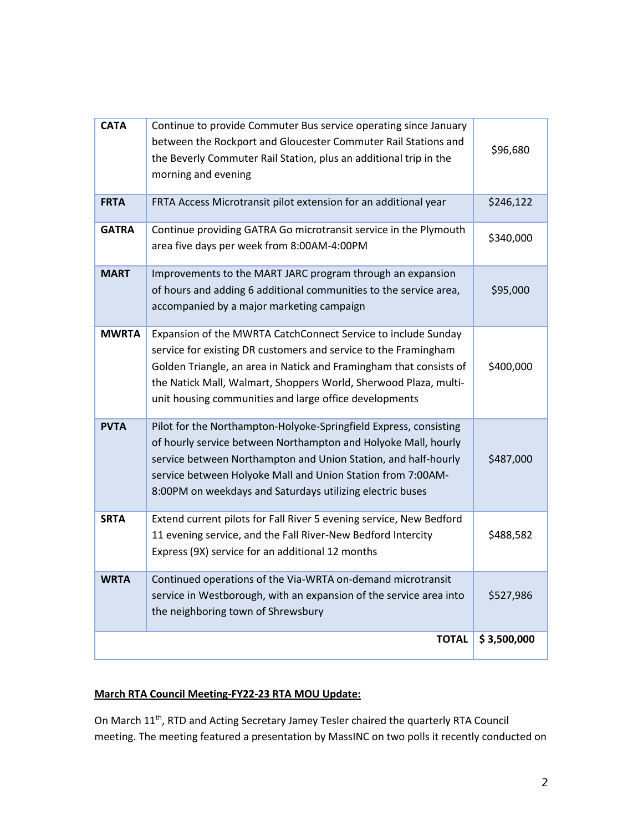| <b>CATA</b><br>Continue to provide Commuter Bus service operating since January<br>between the Rockport and Gloucester Commuter Rail Stations and<br>\$96,680<br>the Beverly Commuter Rail Station, plus an additional trip in the<br>morning and evening<br>FRTA Access Microtransit pilot extension for an additional year<br>\$246,122<br><b>FRTA</b><br>Continue providing GATRA Go microtransit service in the Plymouth<br><b>GATRA</b><br>\$340,000<br>area five days per week from 8:00AM-4:00PM<br><b>MART</b><br>Improvements to the MART JARC program through an expansion<br>of hours and adding 6 additional communities to the service area,<br>\$95,000<br>accompanied by a major marketing campaign<br><b>MWRTA</b><br>Expansion of the MWRTA CatchConnect Service to include Sunday<br>service for existing DR customers and service to the Framingham<br>Golden Triangle, an area in Natick and Framingham that consists of<br>\$400,000<br>the Natick Mall, Walmart, Shoppers World, Sherwood Plaza, multi-<br>unit housing communities and large office developments<br><b>PVTA</b><br>Pilot for the Northampton-Holyoke-Springfield Express, consisting<br>of hourly service between Northampton and Holyoke Mall, hourly<br>\$487,000<br>service between Northampton and Union Station, and half-hourly<br>service between Holyoke Mall and Union Station from 7:00AM-<br>8:00PM on weekdays and Saturdays utilizing electric buses<br><b>SRTA</b><br>Extend current pilots for Fall River 5 evening service, New Bedford<br>11 evening service, and the Fall River-New Bedford Intercity<br>\$488,582<br>Express (9X) service for an additional 12 months<br><b>WRTA</b><br>Continued operations of the Via-WRTA on-demand microtransit<br>service in Westborough, with an expansion of the service area into<br>\$527,986<br>the neighboring town of Shrewsbury<br><b>TOTAL</b><br>\$3,500,000 |  |  |
|-----------------------------------------------------------------------------------------------------------------------------------------------------------------------------------------------------------------------------------------------------------------------------------------------------------------------------------------------------------------------------------------------------------------------------------------------------------------------------------------------------------------------------------------------------------------------------------------------------------------------------------------------------------------------------------------------------------------------------------------------------------------------------------------------------------------------------------------------------------------------------------------------------------------------------------------------------------------------------------------------------------------------------------------------------------------------------------------------------------------------------------------------------------------------------------------------------------------------------------------------------------------------------------------------------------------------------------------------------------------------------------------------------------------------------------------------------------------------------------------------------------------------------------------------------------------------------------------------------------------------------------------------------------------------------------------------------------------------------------------------------------------------------------------------------------------------------------------------------------------------------------------------------------------------|--|--|
|                                                                                                                                                                                                                                                                                                                                                                                                                                                                                                                                                                                                                                                                                                                                                                                                                                                                                                                                                                                                                                                                                                                                                                                                                                                                                                                                                                                                                                                                                                                                                                                                                                                                                                                                                                                                                                                                                                                       |  |  |
|                                                                                                                                                                                                                                                                                                                                                                                                                                                                                                                                                                                                                                                                                                                                                                                                                                                                                                                                                                                                                                                                                                                                                                                                                                                                                                                                                                                                                                                                                                                                                                                                                                                                                                                                                                                                                                                                                                                       |  |  |
|                                                                                                                                                                                                                                                                                                                                                                                                                                                                                                                                                                                                                                                                                                                                                                                                                                                                                                                                                                                                                                                                                                                                                                                                                                                                                                                                                                                                                                                                                                                                                                                                                                                                                                                                                                                                                                                                                                                       |  |  |
|                                                                                                                                                                                                                                                                                                                                                                                                                                                                                                                                                                                                                                                                                                                                                                                                                                                                                                                                                                                                                                                                                                                                                                                                                                                                                                                                                                                                                                                                                                                                                                                                                                                                                                                                                                                                                                                                                                                       |  |  |
|                                                                                                                                                                                                                                                                                                                                                                                                                                                                                                                                                                                                                                                                                                                                                                                                                                                                                                                                                                                                                                                                                                                                                                                                                                                                                                                                                                                                                                                                                                                                                                                                                                                                                                                                                                                                                                                                                                                       |  |  |
|                                                                                                                                                                                                                                                                                                                                                                                                                                                                                                                                                                                                                                                                                                                                                                                                                                                                                                                                                                                                                                                                                                                                                                                                                                                                                                                                                                                                                                                                                                                                                                                                                                                                                                                                                                                                                                                                                                                       |  |  |
|                                                                                                                                                                                                                                                                                                                                                                                                                                                                                                                                                                                                                                                                                                                                                                                                                                                                                                                                                                                                                                                                                                                                                                                                                                                                                                                                                                                                                                                                                                                                                                                                                                                                                                                                                                                                                                                                                                                       |  |  |
|                                                                                                                                                                                                                                                                                                                                                                                                                                                                                                                                                                                                                                                                                                                                                                                                                                                                                                                                                                                                                                                                                                                                                                                                                                                                                                                                                                                                                                                                                                                                                                                                                                                                                                                                                                                                                                                                                                                       |  |  |
|                                                                                                                                                                                                                                                                                                                                                                                                                                                                                                                                                                                                                                                                                                                                                                                                                                                                                                                                                                                                                                                                                                                                                                                                                                                                                                                                                                                                                                                                                                                                                                                                                                                                                                                                                                                                                                                                                                                       |  |  |

# **March RTA Council Meeting-FY22-23 RTA MOU Update:**

On March 11<sup>th</sup>, RTD and Acting Secretary Jamey Tesler chaired the quarterly RTA Council meeting. The meeting featured a presentation by MassINC on two polls it recently conducted on